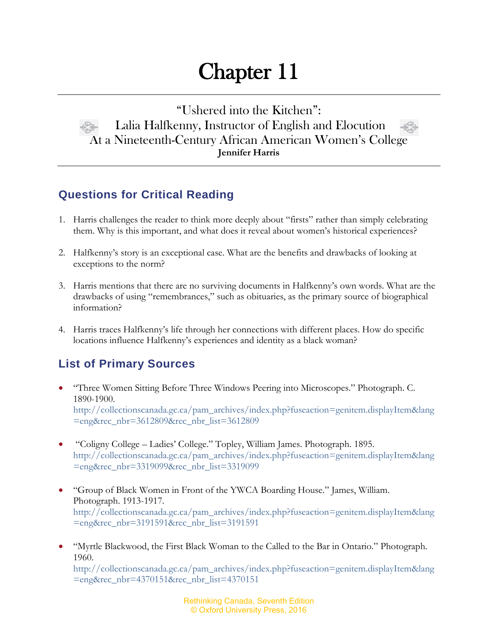## Chapter 11

"Ushered into the Kitchen": Lalia Halfkenny, Instructor of English and Elocution At a Nineteenth-Century African American Women's College **Jennifer Harris**

## **Questions for Critical Reading**

- 1. Harris challenges the reader to think more deeply about "firsts" rather than simply celebrating them. Why is this important, and what does it reveal about women's historical experiences?
- 2. Halfkenny's story is an exceptional case. What are the benefits and drawbacks of looking at exceptions to the norm?
- 3. Harris mentions that there are no surviving documents in Halfkenny's own words. What are the drawbacks of using "remembrances," such as obituaries, as the primary source of biographical information?
- 4. Harris traces Halfkenny's life through her connections with different places. How do specific locations influence Halfkenny's experiences and identity as a black woman?

## **List of Primary Sources**

- "Three Women Sitting Before Three Windows Peering into Microscopes." Photograph. C. 1890-1900. [http://collectionscanada.gc.ca/pam\\_archives/index.php?fuseaction=genitem.displayItem&lang](http://collectionscanada.gc.ca/pam_archives/index.php?fuseaction=genitem.displayItem&lang=eng&rec_nbr=3612809&rec_nbr_list=3612809) [=eng&rec\\_nbr=3612809&rec\\_nbr\\_list=3612809](http://collectionscanada.gc.ca/pam_archives/index.php?fuseaction=genitem.displayItem&lang=eng&rec_nbr=3612809&rec_nbr_list=3612809)
- "Coligny College Ladies' College." Topley, William James. Photograph. 1895. [http://collectionscanada.gc.ca/pam\\_archives/index.php?fuseaction=genitem.displayItem&lang](http://collectionscanada.gc.ca/pam_archives/index.php?fuseaction=genitem.displayItem&lang=eng&rec_nbr=3319099&rec_nbr_list=3319099) [=eng&rec\\_nbr=3319099&rec\\_nbr\\_list=3319099](http://collectionscanada.gc.ca/pam_archives/index.php?fuseaction=genitem.displayItem&lang=eng&rec_nbr=3319099&rec_nbr_list=3319099)
- "Group of Black Women in Front of the YWCA Boarding House." James, William. Photograph. 1913-1917. [http://collectionscanada.gc.ca/pam\\_archives/index.php?fuseaction=genitem.displayItem&lang](http://collectionscanada.gc.ca/pam_archives/index.php?fuseaction=genitem.displayItem&lang=eng&rec_nbr=3191591&rec_nbr_list=3191591) [=eng&rec\\_nbr=3191591&rec\\_nbr\\_list=3191591](http://collectionscanada.gc.ca/pam_archives/index.php?fuseaction=genitem.displayItem&lang=eng&rec_nbr=3191591&rec_nbr_list=3191591)
- "Myrtle Blackwood, the First Black Woman to the Called to the Bar in Ontario." Photograph. 1960. [http://collectionscanada.gc.ca/pam\\_archives/index.php?fuseaction=genitem.displayItem&lang](http://collectionscanada.gc.ca/pam_archives/index.php?fuseaction=genitem.displayItem&lang=eng&rec_nbr=4370151&rec_nbr_list=4370151) [=eng&rec\\_nbr=4370151&rec\\_nbr\\_list=4370151](http://collectionscanada.gc.ca/pam_archives/index.php?fuseaction=genitem.displayItem&lang=eng&rec_nbr=4370151&rec_nbr_list=4370151)

Rethinking Canada, Seventh Edition © Oxford University Press, 2016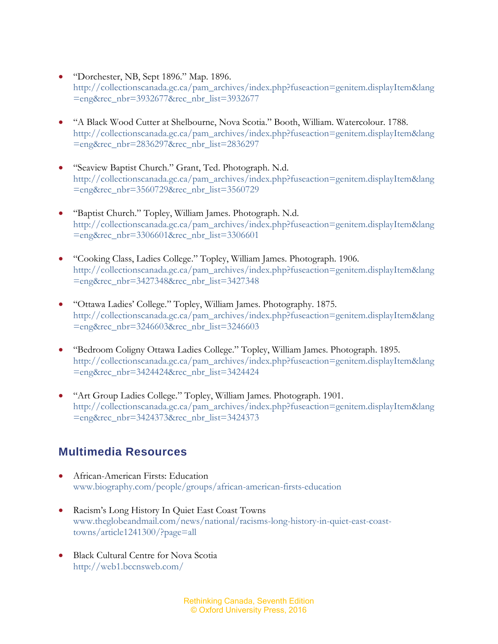- "Dorchester, NB, Sept 1896." Map. 1896. [http://collectionscanada.gc.ca/pam\\_archives/index.php?fuseaction=genitem.displayItem&lang](http://collectionscanada.gc.ca/pam_archives/index.php?fuseaction=genitem.displayItem&lang=eng&rec_nbr=3932677&rec_nbr_list=3932677) [=eng&rec\\_nbr=3932677&rec\\_nbr\\_list=3932677](http://collectionscanada.gc.ca/pam_archives/index.php?fuseaction=genitem.displayItem&lang=eng&rec_nbr=3932677&rec_nbr_list=3932677)
- "A Black Wood Cutter at Shelbourne, Nova Scotia." Booth, William. Watercolour. 1788. [http://collectionscanada.gc.ca/pam\\_archives/index.php?fuseaction=genitem.displayItem&lang](http://collectionscanada.gc.ca/pam_archives/index.php?fuseaction=genitem.displayItem&lang=eng&rec_nbr=2836297&rec_nbr_list=2836297) [=eng&rec\\_nbr=2836297&rec\\_nbr\\_list=2836297](http://collectionscanada.gc.ca/pam_archives/index.php?fuseaction=genitem.displayItem&lang=eng&rec_nbr=2836297&rec_nbr_list=2836297)
- "Seaview Baptist Church." Grant, Ted. Photograph. N.d. [http://collectionscanada.gc.ca/pam\\_archives/index.php?fuseaction=genitem.displayItem&lang](http://collectionscanada.gc.ca/pam_archives/index.php?fuseaction=genitem.displayItem&lang=eng&rec_nbr=3560729&rec_nbr_list=3560729) [=eng&rec\\_nbr=3560729&rec\\_nbr\\_list=3560729](http://collectionscanada.gc.ca/pam_archives/index.php?fuseaction=genitem.displayItem&lang=eng&rec_nbr=3560729&rec_nbr_list=3560729)
- "Baptist Church." Topley, William James. Photograph. N.d. [http://collectionscanada.gc.ca/pam\\_archives/index.php?fuseaction=genitem.displayItem&lang](http://collectionscanada.gc.ca/pam_archives/index.php?fuseaction=genitem.displayItem&lang=eng&rec_nbr=3306601&rec_nbr_list=3306601) [=eng&rec\\_nbr=3306601&rec\\_nbr\\_list=3306601](http://collectionscanada.gc.ca/pam_archives/index.php?fuseaction=genitem.displayItem&lang=eng&rec_nbr=3306601&rec_nbr_list=3306601)
- "Cooking Class, Ladies College." Topley, William James. Photograph. 1906. [http://collectionscanada.gc.ca/pam\\_archives/index.php?fuseaction=genitem.displayItem&lang](http://collectionscanada.gc.ca/pam_archives/index.php?fuseaction=genitem.displayItem&lang=eng&rec_nbr=3427348&rec_nbr_list=3427348) [=eng&rec\\_nbr=3427348&rec\\_nbr\\_list=3427348](http://collectionscanada.gc.ca/pam_archives/index.php?fuseaction=genitem.displayItem&lang=eng&rec_nbr=3427348&rec_nbr_list=3427348)
- "Ottawa Ladies' College." Topley, William James. Photography. 1875. [http://collectionscanada.gc.ca/pam\\_archives/index.php?fuseaction=genitem.displayItem&lang](http://collectionscanada.gc.ca/pam_archives/index.php?fuseaction=genitem.displayItem&lang=eng&rec_nbr=3246603&rec_nbr_list=3246603) [=eng&rec\\_nbr=3246603&rec\\_nbr\\_list=3246603](http://collectionscanada.gc.ca/pam_archives/index.php?fuseaction=genitem.displayItem&lang=eng&rec_nbr=3246603&rec_nbr_list=3246603)
- "Bedroom Coligny Ottawa Ladies College." Topley, William James. Photograph. 1895. [http://collectionscanada.gc.ca/pam\\_archives/index.php?fuseaction=genitem.displayItem&lang](http://collectionscanada.gc.ca/pam_archives/index.php?fuseaction=genitem.displayItem&lang=eng&rec_nbr=3424424&rec_nbr_list=3424424) [=eng&rec\\_nbr=3424424&rec\\_nbr\\_list=3424424](http://collectionscanada.gc.ca/pam_archives/index.php?fuseaction=genitem.displayItem&lang=eng&rec_nbr=3424424&rec_nbr_list=3424424)
- "Art Group Ladies College." Topley, William James. Photograph. 1901. [http://collectionscanada.gc.ca/pam\\_archives/index.php?fuseaction=genitem.displayItem&lang](http://collectionscanada.gc.ca/pam_archives/index.php?fuseaction=genitem.displayItem&lang=eng&rec_nbr=3424373&rec_nbr_list=3424373) [=eng&rec\\_nbr=3424373&rec\\_nbr\\_list=3424373](http://collectionscanada.gc.ca/pam_archives/index.php?fuseaction=genitem.displayItem&lang=eng&rec_nbr=3424373&rec_nbr_list=3424373)

## **Multimedia Resources**

- African-American Firsts: Education [www.biography.com/people/groups/african-american-firsts-education](http://www.biography.com/people/groups/african-american-firsts-education)
- Racism's Long History In Quiet East Coast Towns [www.theglobeandmail.com/news/national/racisms-long-history-in-quiet-east-coast](http://www.theglobeandmail.com/news/national/racisms-long-history-in-quiet-east-coast-towns/article1241300/?page=all)[towns/article1241300/?page=all](http://www.theglobeandmail.com/news/national/racisms-long-history-in-quiet-east-coast-towns/article1241300/?page=all)
- Black Cultural Centre for Nova Scotia <http://web1.bccnsweb.com/>

Rethinking Canada, Seventh Edition © Oxford University Press, 2016